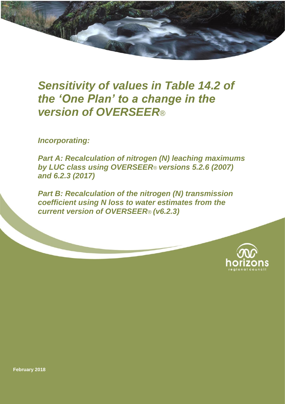# *Sensitivity of values in Table 14.2 of the 'One Plan' to a change in the version of OVERSEER*®

*Incorporating:*

*Part A: Recalculation of nitrogen (N) leaching maximums by LUC class using OVERSEER*® *versions 5.2.6 (2007) and 6.2.3 (2017)*

*Part B: Recalculation of the nitrogen (N) transmission coefficient using N loss to water estimates from the current version of OVERSEER*® *(v6.2.3)*



**February 2018**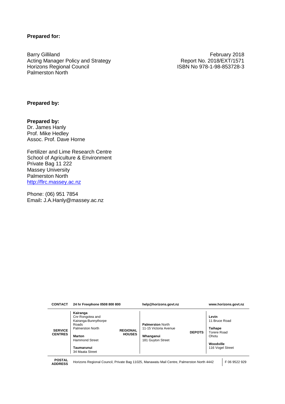#### **Prepared for:**

Barry Gilliland February 2018 Acting Manager Policy and Strategy **Report No. 2018/EXT/1571**<br>Horizons Regional Council **Report No. 2018/EXT/1571** Palmerston North

ISBN No 978-1-98-853728-3

#### **Prepared by:**

**Prepared by:** Dr. James Hanly Prof. Mike Hedley Assoc. Prof. Dave Horne

Fertilizer and Lime Research Centre School of Agriculture & Environment Private Bag 11 222 Massey University Palmerston North [http://flrc.massey.ac.nz](http://flrc.massey.ac.nz/)

Phone: (06) 951 7854 Email**:** J.A.Hanly@massey.ac.nz

| Kairanga<br>Cnr Rongotea and<br>Kairanga-Bunnythorpe<br><b>Palmerston North</b><br>Roads<br>Palmerston North<br>11-15 Victoria Avenue<br><b>SERVICE</b><br><b>REGIONAL</b><br><b>CENTRES</b><br><b>HOUSES</b><br>Whanganui<br>Marton<br><b>Hammond Street</b><br>181 Guyton Street<br>Taumarunui<br>34 Maata Street | <b>DEPOTS</b> | Levin<br>11 Bruce Road<br><b>Taihape</b><br>Torere Road<br>Ohotu<br>Woodville<br>116 Vogel Street |  |
|---------------------------------------------------------------------------------------------------------------------------------------------------------------------------------------------------------------------------------------------------------------------------------------------------------------------|---------------|---------------------------------------------------------------------------------------------------|--|
|---------------------------------------------------------------------------------------------------------------------------------------------------------------------------------------------------------------------------------------------------------------------------------------------------------------------|---------------|---------------------------------------------------------------------------------------------------|--|

**CONTACT 24 hr Freephone 0508 800 800 help@horizons.govt.nz www.horizons.govt.nz**

**POSTAL** 

**ADDRESS** Horizons Regional Council, Private Bag 11025, Manawatu Mail Centre, Palmerston North 4442 F 06 9522 929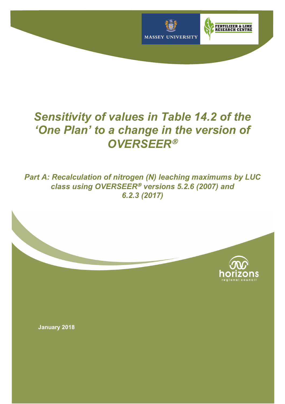

# *Sensitivity of values in Table 14.2 of the 'One Plan' to a change in the version of OVERSEER*<sup>Ò</sup>

*Part A: Recalculation of nitrogen (N) leaching maximums by LUC class using OVERSEER<sup>®</sup> versions 5.2.6 (2007) and 6.2.3 (2017)*



**January 2018**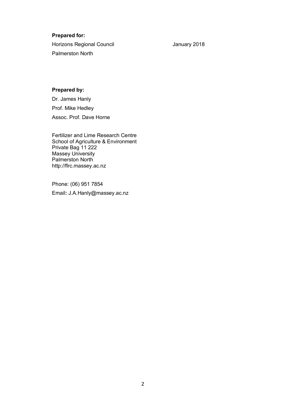#### **Prepared for:**

Horizons Regional Council **Horizons** January 2018 Palmerston North

#### **Prepared by:**

Dr. James Hanly Prof. Mike Hedley Assoc. Prof. Dave Horne

Fertilizer and Lime Research Centre School of Agriculture & Environment Private Bag 11 222 Massey University Palmerston North http://flrc.massey.ac.nz

Phone: (06) 951 7854 Email**:** J.A.Hanly@massey.ac.nz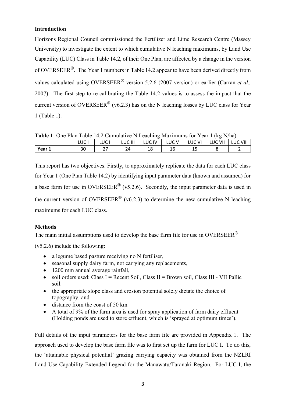#### **Introduction**

Horizons Regional Council commissioned the Fertilizer and Lime Research Centre (Massey University) to investigate the extent to which cumulative N leaching maximums, by Land Use Capability (LUC) Class in Table 14.2, of their One Plan, are affected by a change in the version of OVERSEER<sup>®</sup>. The Year 1 numbers in Table 14.2 appear to have been derived directly from values calculated using OVERSEER<sup>®</sup> version 5.2.6 (2007 version) or earlier (Carran *et al.*, 2007). The first step to re-calibrating the Table 14.2 values is to assess the impact that the current version of OVERSEER<sup>®</sup> (v6.2.3) has on the N leaching losses by LUC class for Year 1 (Table 1).

**Table 1**: One Plan Table 14.2 Cumulative N Leaching Maximums for Year 1 (kg N/ha)

|        | LUC       | JC II<br>◡ | LUC III | LUC IV | JC. | ٧I<br>IJС | VII<br>LUC | VIII |
|--------|-----------|------------|---------|--------|-----|-----------|------------|------|
| Year 1 | ົາດ<br>3U | ^¬<br>، ے  | 24      | 18     | 16  | <b></b>   |            |      |

This report has two objectives. Firstly, to approximately replicate the data for each LUC class for Year 1 (One Plan Table 14.2) by identifying input parameter data (known and assumed) for a base farm for use in OVERSEER<sup>®</sup> (v5.2.6). Secondly, the input parameter data is used in the current version of OVERSEER<sup>®</sup> (v6.2.3) to determine the new cumulative N leaching maximums for each LUC class.

## **Methods**

The main initial assumptions used to develop the base farm file for use in OVERSEER<sup>®</sup>

(v5.2.6) include the following:

- a legume based pasture receiving no N fertiliser.
- seasonal supply dairy farm, not carrying any replacements,
- 1200 mm annual average rainfall,
- soil orders used: Class I = Recent Soil, Class II = Brown soil, Class III VII Pallic soil.
- the appropriate slope class and erosion potential solely dictate the choice of topography, and
- distance from the coast of 50 km
- A total of 9% of the farm area is used for spray application of farm dairy effluent (Holding ponds are used to store effluent, which is 'sprayed at optimum times').

Full details of the input parameters for the base farm file are provided in Appendix 1. The approach used to develop the base farm file was to first set up the farm for LUC I. To do this, the 'attainable physical potential' grazing carrying capacity was obtained from the NZLRI Land Use Capability Extended Legend for the Manawatu/Taranaki Region. For LUC I, the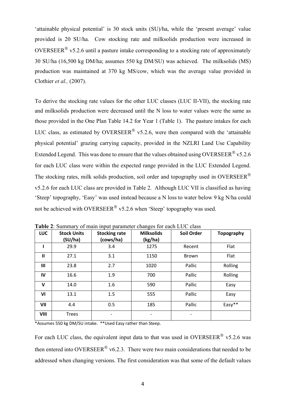'attainable physical potential' is 30 stock units (SU)/ha, while the 'present average' value provided is 20 SU/ha. Cow stocking rate and milksolids production were increased in OVERSEER<sup>®</sup> v5.2.6 until a pasture intake corresponding to a stocking rate of approximately 30 SU/ha (16,500 kg DM/ha; assumes 550 kg DM/SU) was achieved. The milksolids (MS) production was maintained at 370 kg MS/cow, which was the average value provided in Clothier *et al.,* (2007).

To derive the stocking rate values for the other LUC classes (LUC II-VII), the stocking rate and milksolids production were decreased until the N loss to water values were the same as those provided in the One Plan Table 14.2 for Year 1 (Table 1). The pasture intakes for each LUC class, as estimated by OVERSEER<sup>®</sup> v5.2.6, were then compared with the 'attainable' physical potential' grazing carrying capacity, provided in the NZLRI Land Use Capability Extended Legend. This was done to ensure that the values obtained using OVERSEER<sup>®</sup> v5.2.6 for each LUC class were within the expected range provided in the LUC Extended Legend. The stocking rates, milk solids production, soil order and topography used in OVERSEER® v5.2.6 for each LUC class are provided in Table 2. Although LUC VII is classified as having 'Steep' topography, 'Easy' was used instead because a N loss to water below 9 kg N/ha could not be achieved with OVERSEER<sup>®</sup> v5.2.6 when 'Steep' topography was used.

| <b>LUC</b> | <b>Stock Units</b><br>(SU/ha) | <b>Stocking rate</b><br>(cows/ha) | <b>Milksolids</b><br>(kg/ha) | Soil Order               | <b>Topography</b> |
|------------|-------------------------------|-----------------------------------|------------------------------|--------------------------|-------------------|
|            | 29.9                          | 3.4                               | 1275                         | Recent                   | Flat              |
| Ш          | 27.1                          | 3.1                               | 1150                         | <b>Brown</b>             | Flat              |
| Ш          | 23.8                          | 2.7                               | 1020                         | Pallic                   | Rolling           |
| IV         | 16.6                          | 1.9                               | 700                          | Pallic                   | Rolling           |
| V          | 14.0                          | 1.6                               | 590                          | Pallic                   | Easy              |
| VI         | 13.1                          | 1.5                               | 555                          | Pallic                   | Easy              |
| VII        | 4.4                           | 0.5                               | 185                          | Pallic                   | Easy**            |
| VIII       | <b>Trees</b>                  | -                                 | $\qquad \qquad \blacksquare$ | $\overline{\phantom{a}}$ |                   |

**Table 2**: Summary of main input parameter changes for each LUC class

\*Assumes 550 kg DM/SU intake. \*\*Used Easy rather than Steep.

For each LUC class, the equivalent input data to that was used in OVERSEER<sup>®</sup> v5.2.6 was then entered into OVERSEER<sup>®</sup> v6.2.3. There were two main considerations that needed to be addressed when changing versions. The first consideration was that some of the default values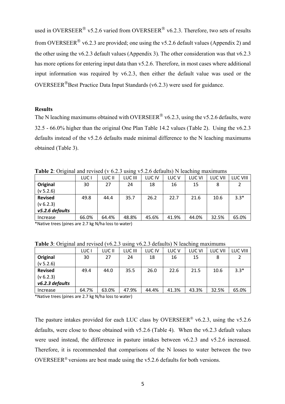used in OVERSEER<sup>®</sup> v5.2.6 varied from OVERSEER<sup>®</sup> v6.2.3. Therefore, two sets of results from OVERSEER<sup>®</sup> v6.2.3 are provided; one using the v5.2.6 default values (Appendix 2) and the other using the v6.2.3 default values (Appendix 3). The other consideration was that v6.2.3 has more options for entering input data than  $v5.2.6$ . Therefore, in most cases where additional input information was required by v6.2.3, then either the default value was used or the  $OVERSEER^®$ Best Practice Data Input Standards (v6.2.3) were used for guidance.

#### **Results**

The N leaching maximums obtained with OVERSEER<sup>®</sup> v6.2.3, using the v5.2.6 defaults, were 32.5 - 66.0% higher than the original One Plan Table 14.2 values (Table 2). Using the v6.2.3 defaults instead of the v5.2.6 defaults made minimal difference to the N leaching maximums obtained (Table 3).

**Table 2**: Original and revised (v 6.2.3 using v5.2.6 defaults) N leaching maximums

|                 | LUC I | LUC II | LUC III | LUC IV | LUC <sub>V</sub> | LUC VI | LUC VII | <b>LUC VIII</b> |
|-----------------|-------|--------|---------|--------|------------------|--------|---------|-----------------|
| Original        | 30    | 27     | 24      | 18     | 16               | 15     | 8       |                 |
| (v 5.2.6)       |       |        |         |        |                  |        |         |                 |
| <b>Revised</b>  | 49.8  | 44.4   | 35.7    | 26.2   | 22.7             | 21.6   | 10.6    | $3.3*$          |
| (v 6.2.3)       |       |        |         |        |                  |        |         |                 |
| v5.2.6 defaults |       |        |         |        |                  |        |         |                 |
| Increase        | 66.0% | 64.4%  | 48.8%   | 45.6%  | 41.9%            | 44.0%  | 32.5%   | 65.0%           |

\*Native trees (pines are 2.7 kg N/ha loss to water)

|  | Table 3: Original and revised (v6.2.3 using v6.2.3 defaults) N leaching maximums |  |  |  |  |
|--|----------------------------------------------------------------------------------|--|--|--|--|
|  |                                                                                  |  |  |  |  |

|                 | LUC I | LUC II | LUC III | LUC IV | LUC V | LUC VI | LUC VII | LUC VIII |
|-----------------|-------|--------|---------|--------|-------|--------|---------|----------|
| Original        | 30    | 27     | 24      | 18     | 16    | 15     | 8       |          |
| (v 5.2.6)       |       |        |         |        |       |        |         |          |
| <b>Revised</b>  | 49.4  | 44.0   | 35.5    | 26.0   | 22.6  | 21.5   | 10.6    | $3.3*$   |
| (v 6.2.3)       |       |        |         |        |       |        |         |          |
| v6.2.3 defaults |       |        |         |        |       |        |         |          |
| Increase        | 64.7% | 63.0%  | 47.9%   | 44.4%  | 41.3% | 43.3%  | 32.5%   | 65.0%    |

\*Native trees (pines are 2.7 kg N/ha loss to water)

The pasture intakes provided for each LUC class by OVERSEER<sup>®</sup> v6.2.3, using the v5.2.6 defaults, were close to those obtained with v5.2.6 (Table 4). When the v6.2.3 default values were used instead, the difference in pasture intakes between v6.2.3 and v5.2.6 increased. Therefore, it is recommended that comparisons of the N losses to water between the two OVERSEER<sup>®</sup> versions are best made using the v5.2.6 defaults for both versions.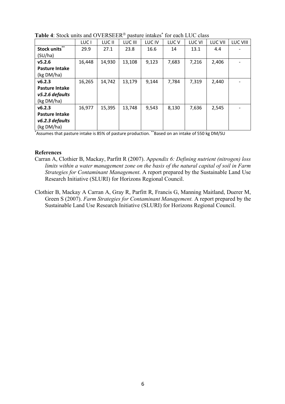|                       | LUC <sub>1</sub> | LUC II | LUC III | LUC IV | LUC V | LUC VI | <b>LUC VII</b> | <b>LUC VIII</b> |
|-----------------------|------------------|--------|---------|--------|-------|--------|----------------|-----------------|
| Stock units**         | 29.9             | 27.1   | 23.8    | 16.6   | 14    | 13.1   | 4.4            |                 |
| (SU/ha)               |                  |        |         |        |       |        |                |                 |
| v5.2.6                | 16,448           | 14,930 | 13,108  | 9,123  | 7,683 | 7,216  | 2,406          |                 |
| <b>Pasture Intake</b> |                  |        |         |        |       |        |                |                 |
| (kg DM/ha)            |                  |        |         |        |       |        |                |                 |
| v6.2.3                | 16,265           | 14,742 | 13,179  | 9,144  | 7,784 | 7,319  | 2,440          |                 |
| <b>Pasture Intake</b> |                  |        |         |        |       |        |                |                 |
| v5.2.6 defaults       |                  |        |         |        |       |        |                |                 |
| (kg DM/ha)            |                  |        |         |        |       |        |                |                 |
| v6.2.3                | 16,977           | 15,395 | 13,748  | 9,543  | 8,130 | 7,636  | 2,545          |                 |
| <b>Pasture Intake</b> |                  |        |         |        |       |        |                |                 |
| v6.2.3 defaults       |                  |        |         |        |       |        |                |                 |
| (kg DM/ha)            |                  |        |         |        |       |        |                |                 |

**Table 4:** Stock units and OVERSEER<sup>®</sup> pasture intakes<sup>\*</sup> for each LUC class

\* Assumes that pasture intake is 85% of pasture production. \*\*Based on an intake of 550 kg DM/SU

#### **References**

- Carran A, Clothier B, Mackay, Parfitt R (2007). A*ppendix 6: Defining nutrient (nitrogen) loss limits within a water management zone on the basis of the natural capital of soil in Farm Strategies for Contaminant Management*. A report prepared by the Sustainable Land Use Research Initiative (SLURI) for Horizons Regional Council.
- Clothier B, Mackay A Carran A, Gray R, Parfitt R, Francis G, Manning Maitland, Duerer M, Green S (2007). *Farm Strategies for Contaminant Management.* A report prepared by the Sustainable Land Use Research Initiative (SLURI) for Horizons Regional Council.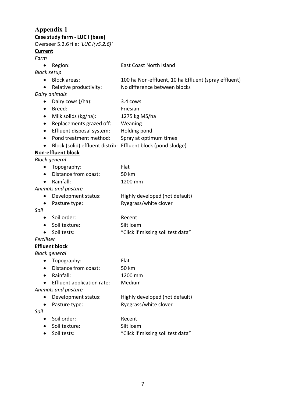# **Appendix 1**

**Case study farm - LUC I (base)**

Overseer 5.2.6 file: '*LUC I(v5.2.6)'*

# **Current**

# *Farm*

| rurm               |                                                              |                                                      |
|--------------------|--------------------------------------------------------------|------------------------------------------------------|
| $\bullet$          | Region:                                                      | <b>East Coast North Island</b>                       |
| <b>Block setup</b> |                                                              |                                                      |
| $\bullet$          | <b>Block areas:</b>                                          | 100 ha Non-effluent, 10 ha Effluent (spray effluent) |
| $\bullet$          | Relative productivity:                                       | No difference between blocks                         |
|                    | Dairy animals                                                |                                                      |
|                    | Dairy cows (/ha):                                            | 3.4 cows                                             |
| $\bullet$          | Breed:                                                       | Friesian                                             |
| $\bullet$          | Milk solids (kg/ha):                                         | 1275 kg MS/ha                                        |
|                    | Replacements grazed off:                                     | Weaning                                              |
|                    | Effluent disposal system:                                    | Holding pond                                         |
| $\bullet$          | Pond treatment method:                                       | Spray at optimum times                               |
|                    | Block (solid) effluent distrib: Effluent block (pond sludge) |                                                      |
|                    | <b>Non-effluent block</b>                                    |                                                      |
|                    | <b>Block general</b>                                         |                                                      |
| $\bullet$          | Topography:                                                  | Flat                                                 |
| $\bullet$          | Distance from coast:                                         | 50 km                                                |
| $\bullet$          | Rainfall:                                                    | 1200 mm                                              |
|                    | Animals and pasture                                          |                                                      |
| $\bullet$          | Development status:                                          | Highly developed (not default)                       |
| ٠                  | Pasture type:                                                | Ryegrass/white clover                                |
| Soil               |                                                              |                                                      |
| ٠                  | Soil order:                                                  | Recent                                               |
|                    | Soil texture:                                                | Silt loam                                            |
|                    | Soil tests:                                                  | "Click if missing soil test data"                    |
| Fertiliser         |                                                              |                                                      |
|                    | <b>Effluent block</b>                                        |                                                      |
|                    | <b>Block general</b>                                         |                                                      |
|                    | Topography:                                                  | Flat                                                 |
|                    | Distance from coast:                                         | 50 km                                                |
|                    | Rainfall:                                                    | 1200 mm                                              |
|                    | Effluent application rate:                                   | Medium                                               |
|                    | Animals and pasture                                          |                                                      |
|                    | Development status:                                          | Highly developed (not default)                       |
| $\bullet$          | Pasture type:                                                | Ryegrass/white clover                                |
| Soil               |                                                              |                                                      |
|                    | Soil order:                                                  | Recent                                               |
|                    |                                                              |                                                      |

- Soil texture: Silt loam
- Soil tests: "Click if missing soil test data"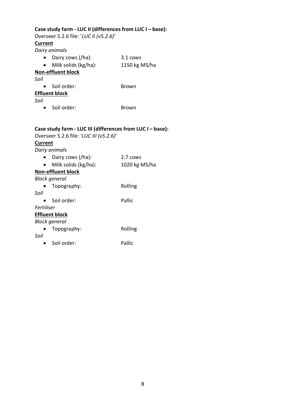| Case study farm - LUC II (differences from LUC I - base):<br>Overseer 5.2.6 file: 'LUC II (v5.2.6)'<br><b>Current</b> |                                                                                                                        |               |  |  |  |  |  |  |  |  |
|-----------------------------------------------------------------------------------------------------------------------|------------------------------------------------------------------------------------------------------------------------|---------------|--|--|--|--|--|--|--|--|
|                                                                                                                       | Dairy animals                                                                                                          |               |  |  |  |  |  |  |  |  |
|                                                                                                                       | Dairy cows (/ha):                                                                                                      | 3.1 cows      |  |  |  |  |  |  |  |  |
|                                                                                                                       | Milk solids (kg/ha):                                                                                                   | 1150 kg MS/ha |  |  |  |  |  |  |  |  |
|                                                                                                                       | <b>Non-effluent block</b>                                                                                              |               |  |  |  |  |  |  |  |  |
| Soil                                                                                                                  |                                                                                                                        |               |  |  |  |  |  |  |  |  |
|                                                                                                                       | Soil order:                                                                                                            | Brown         |  |  |  |  |  |  |  |  |
|                                                                                                                       | <b>Effluent block</b>                                                                                                  |               |  |  |  |  |  |  |  |  |
| Soil                                                                                                                  |                                                                                                                        |               |  |  |  |  |  |  |  |  |
| $\bullet$                                                                                                             | Soil order:                                                                                                            | Brown         |  |  |  |  |  |  |  |  |
|                                                                                                                       |                                                                                                                        |               |  |  |  |  |  |  |  |  |
| <b>Current</b>                                                                                                        | Case study farm - LUC III (differences from LUC I - base):<br>Overseer 5.2.6 file: 'LUC III (v5.2.6)'<br>Dairy animals |               |  |  |  |  |  |  |  |  |
|                                                                                                                       | Dairy cows (/ha):                                                                                                      | 2.7 cows      |  |  |  |  |  |  |  |  |
|                                                                                                                       | Milk solids (kg/ha):                                                                                                   | 1020 kg MS/ha |  |  |  |  |  |  |  |  |
|                                                                                                                       | <b>Non-effluent block</b>                                                                                              |               |  |  |  |  |  |  |  |  |
|                                                                                                                       | <b>Block general</b>                                                                                                   |               |  |  |  |  |  |  |  |  |
|                                                                                                                       | Topography:                                                                                                            | Rolling       |  |  |  |  |  |  |  |  |
| Soil                                                                                                                  |                                                                                                                        |               |  |  |  |  |  |  |  |  |
| $\bullet$                                                                                                             | Soil order:                                                                                                            | Pallic        |  |  |  |  |  |  |  |  |
| Fertiliser                                                                                                            |                                                                                                                        |               |  |  |  |  |  |  |  |  |
|                                                                                                                       | <b>Effluent block</b>                                                                                                  |               |  |  |  |  |  |  |  |  |
|                                                                                                                       | <b>Block general</b>                                                                                                   |               |  |  |  |  |  |  |  |  |
|                                                                                                                       | Topography:                                                                                                            | Rolling       |  |  |  |  |  |  |  |  |
| Soil                                                                                                                  |                                                                                                                        |               |  |  |  |  |  |  |  |  |
|                                                                                                                       | Soil order:                                                                                                            | Pallic        |  |  |  |  |  |  |  |  |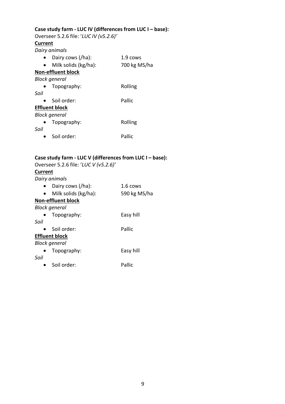#### **Case study farm - LUC IV (differences from LUC I – base):**

Overseer 5.2.6 file: '*LUC IV (v5.2.6)'* **Current** *Dairy animals* • Dairy cows (/ha): 1.9 cows • Milk solids (kg/ha): 700 kg MS/ha **Non-effluent block** *Block general* • Topography: Rolling *Soil*

# • Soil order: Pallic **Effluent block** *Block general* • Topography: Rolling *Soil*

• Soil order: Pallic

# **Case study farm - LUC V (differences from LUC I – base):**

|         | Overseer 5.2.6 file: 'LUC V (v5.2.6)' |                    |
|---------|---------------------------------------|--------------------|
| Current |                                       |                    |
|         | Dairy animals                         |                    |
|         | Dairy cows (/ha):                     | $1.6 \text{ cows}$ |
|         | Milk solids (kg/ha):                  | 590 kg MS/ha       |
|         | <b>Non-effluent block</b>             |                    |
|         | <b>Block general</b>                  |                    |
|         | Topography:                           | Easy hill          |
| Soil    |                                       |                    |
|         | Soil order:                           | Pallic             |
|         | <b>Effluent block</b>                 |                    |
|         | <b>Block general</b>                  |                    |
|         | Topography:                           | Easy hill          |
| Soil    |                                       |                    |
|         | Soil order:                           | Pallic             |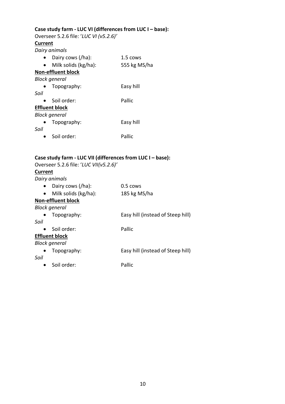# **Case study farm - LUC VI (differences from LUC I – base):**

Overseer 5.2.6 file: '*LUC VI (v5.2.6)'* **Current** *Dairy animals*

|      | <i>Duny unimus</i>        |              |
|------|---------------------------|--------------|
|      | Dairy cows (/ha):         | 1.5 cows     |
|      | Milk solids (kg/ha):      | 555 kg MS/ha |
|      | <b>Non-effluent block</b> |              |
|      | <b>Block general</b>      |              |
|      | Topography:               | Easy hill    |
| Soil |                           |              |
|      | Soil order:               | Pallic       |
|      | <b>Effluent block</b>     |              |
|      | <b>Block general</b>      |              |
|      | Topography:               | Easy hill    |
| Soil |                           |              |
|      | Soil order:               | Pallic       |

# **Case study farm - LUC VII (differences from LUC I – base):**

| Case study farm - LUC VII (differences from LUC I – base): |                                   |
|------------------------------------------------------------|-----------------------------------|
| Overseer 5.2.6 file: 'LUC VII(v5.2.6)'                     |                                   |
| <b>Current</b>                                             |                                   |
| Dairy animals                                              |                                   |
| Dairy cows (/ha):                                          | $0.5 \cos$                        |
| Milk solids (kg/ha):<br>$\bullet$                          | 185 kg MS/ha                      |
| <b>Non-effluent block</b>                                  |                                   |
| <b>Block general</b>                                       |                                   |
| Topography:                                                | Easy hill (instead of Steep hill) |
| Soil                                                       |                                   |
| Soil order:                                                | Pallic                            |
| <b>Effluent block</b>                                      |                                   |
| <b>Block general</b>                                       |                                   |
| Topography:                                                | Easy hill (instead of Steep hill) |
| Soil                                                       |                                   |
| Soil order:                                                | Pallic                            |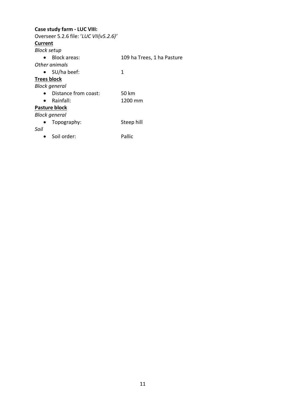## **Case study farm - LUC VIII:**

Overseer 5.2.6 file: '*LUC VII(v5.2.6)'* **Current** *Block setup* • Block areas: 109 ha Trees, 1 ha Pasture *Other animals* • SU/ha beef: 1 **Trees block** *Block general* • Distance from coast: 50 km • Rainfall: 1200 mm **Pasture block** *Block general* • Topography: Steep hill *Soil* • Soil order: Pallic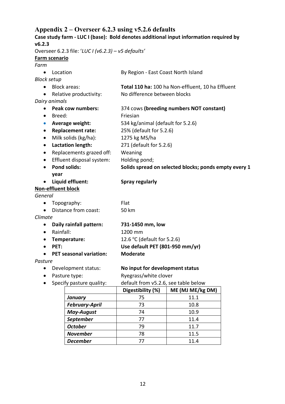# **Appendix 2 – Overseer 6.2.3 using v5.2.6 defaults Case study farm - LUC I (base): Bold denotes additional input information required by v6.2.3** Overseer 6.2.3 file: '*LUC I (v6.2.3) – v5 defaults'*

|                    | Overseer 0.2.5 me. LOC $(100.2.5) - 100.2$ |                                                       |
|--------------------|--------------------------------------------|-------------------------------------------------------|
|                    | Farm scenario                              |                                                       |
| Farm               |                                            |                                                       |
| $\bullet$          | Location                                   | By Region - East Coast North Island                   |
| <b>Block setup</b> |                                            |                                                       |
|                    | <b>Block areas:</b>                        | Total 110 ha: 100 ha Non-effluent, 10 ha Effluent     |
| $\bullet$          | Relative productivity:                     | No difference between blocks                          |
|                    | Dairy animals                              |                                                       |
| $\bullet$          | <b>Peak cow numbers:</b>                   | 374 cows (breeding numbers NOT constant)              |
| $\bullet$          | Breed:                                     | Friesian                                              |
| $\bullet$          | Average weight:                            | 534 kg/animal (default for 5.2.6)                     |
| $\bullet$          | <b>Replacement rate:</b>                   | 25% (default for 5.2.6)                               |
| $\bullet$          | Milk solids (kg/ha):                       | 1275 kg MS/ha                                         |
| $\bullet$          | <b>Lactation length:</b>                   | 271 (default for 5.2.6)                               |
| $\bullet$          | Replacements grazed off:                   | Weaning                                               |
| $\bullet$          | Effluent disposal system:                  | Holding pond;                                         |
| $\bullet$          | <b>Pond solids:</b>                        | Solids spread on selected blocks; ponds empty every 1 |
|                    | year                                       |                                                       |
|                    | Liquid effluent:                           | <b>Spray regularly</b>                                |
|                    | <b>Non-effluent block</b>                  |                                                       |
| General            |                                            |                                                       |
| ٠                  | Topography:                                | Flat                                                  |
| $\bullet$          | Distance from coast:                       | 50 km                                                 |
| Climate            |                                            |                                                       |
| $\bullet$          | Daily rainfall pattern:                    | 731-1450 mm, low                                      |
| $\bullet$          | Rainfall:                                  | 1200 mm                                               |
| $\bullet$          | Temperature:                               | 12.6 °C (default for 5.2.6)                           |
| $\bullet$          | PET:                                       | Use default PET (801-950 mm/yr)                       |
| $\bullet$          | <b>PET seasonal variation:</b>             | <b>Moderate</b>                                       |
| Pasture            |                                            |                                                       |
| ٠                  | Development status:                        | No input for development status                       |
| $\bullet$          | Pasture type:                              | Ryegrass/white clover                                 |
| $\bullet$          | Specify pasture quality:                   | default from v5.2.6, see table below                  |

| . .                   | Digestibility (%) | ME (MJ ME/kg DM) |
|-----------------------|-------------------|------------------|
| <b>January</b>        | 75                | 11.1             |
| <b>February-April</b> | 73                | 10.8             |
| <b>May-August</b>     | 74                | 10.9             |
| <b>September</b>      | 77                | 11.4             |
| <b>October</b>        | 79                | 11.7             |
| <b>November</b>       | 78                | 11.5             |
| <b>December</b>       |                   | 11.4             |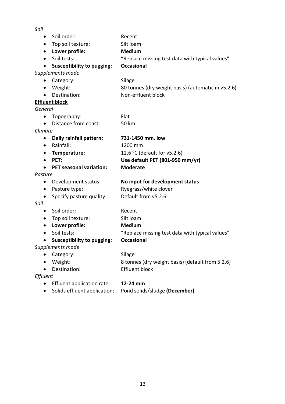| v<br>×                        |  |
|-------------------------------|--|
| ۹<br>۰.<br>۰.<br>۰.<br>×<br>× |  |

| $\bullet$ | Soil order:                       | Recent                                             |
|-----------|-----------------------------------|----------------------------------------------------|
| $\bullet$ | Top soil texture:                 | Silt loam                                          |
| ٠         | Lower profile:                    | <b>Medium</b>                                      |
| $\bullet$ | Soil tests:                       | "Replace missing test data with typical values"    |
| $\bullet$ | <b>Susceptibility to pugging:</b> | <b>Occasional</b>                                  |
|           | Supplements made                  |                                                    |
|           | Category:                         | Silage                                             |
| $\bullet$ | Weight:                           | 80 tonnes (dry weight basis) (automatic in v5.2.6) |
|           | Destination:                      | Non-effluent block                                 |
|           | <b>Effluent block</b>             |                                                    |
| General   |                                   |                                                    |
| $\bullet$ | Topography:                       | Flat                                               |
|           | Distance from coast:              | 50 km                                              |
| Climate   |                                   |                                                    |
| ٠         | Daily rainfall pattern:           | 731-1450 mm, low                                   |
| $\bullet$ | Rainfall:                         | 1200 mm                                            |
| ٠         | Temperature:                      | 12.6 °C (default for $v5.2.6$ )                    |
|           | PET:                              | Use default PET (801-950 mm/yr)                    |
| $\bullet$ | <b>PET seasonal variation:</b>    | <b>Moderate</b>                                    |
| Pasture   |                                   |                                                    |
| ٠         | Development status:               | No input for development status                    |
| $\bullet$ | Pasture type:                     | Ryegrass/white clover                              |
|           | Specify pasture quality:          | Default from v5.2.6                                |
| Soil      |                                   |                                                    |
| $\bullet$ | Soil order:                       | Recent                                             |
| ٠         | Top soil texture:                 | Silt loam                                          |
| $\bullet$ | Lower profile:                    | <b>Medium</b>                                      |
| $\bullet$ | Soil tests:                       | "Replace missing test data with typical values"    |
| $\bullet$ | <b>Susceptibility to pugging:</b> | <b>Occasional</b>                                  |
|           | Supplements made                  |                                                    |
|           | Category:                         | Silage                                             |
|           | Weight:                           | 8 tonnes (dry weight basis) (default from 5.2.6)   |
|           | Destination:                      | <b>Effluent block</b>                              |
| Effluent  |                                   |                                                    |
|           | Effluent application rate:        | 12-24 mm                                           |
|           | Solids effluent application:      | Pond solids/sludge (December)                      |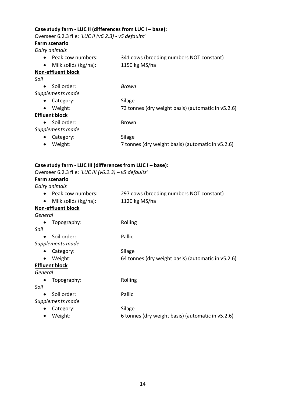#### **Case study farm - LUC II (differences from LUC I – base):**

Overseer 6.2.3 file: '*LUC II (v6.2.3) - v5 defaults'*

#### **Farm scenario**

*Dairy animals*

• Peak cow numbers: 341 cows (breeding numbers NOT constant) • Milk solids (kg/ha): 1150 kg MS/ha

#### **Non-effluent block**

*Soil*

| Brown                                              |
|----------------------------------------------------|
|                                                    |
| Silage                                             |
| 73 tonnes (dry weight basis) (automatic in v5.2.6) |
|                                                    |
| Brown                                              |
|                                                    |
| Silage                                             |
| 7 tonnes (dry weight basis) (automatic in v5.2.6)  |
|                                                    |

#### **Case study farm - LUC III (differences from LUC I – base):**

Overseer 6.2.3 file: '*LUC III (v6.2.3) – v5 defaults'*

#### **Farm scenario**

*Dairy animals*

- Peak cow numbers: 297 cows (breeding numbers NOT constant) • Milk solids (kg/ha): 1120 kg MS/ha
- **Non-effluent block**

*General*

- Topography: Rolling *Soil* • Soil order: Pallic *Supplements made* • Category: Silage
	- Weight: 64 tonnes (dry weight basis) (automatic in v5.2.6)

# **Effluent block**

*General*

• Topography: Rolling

*Soil*

- Soil order: Pallic
- *Supplements made* • Category: Silage
	- Weight: 6 tonnes (dry weight basis) (automatic in v5.2.6)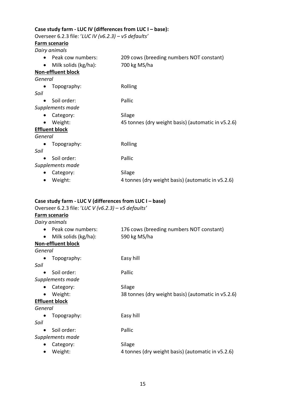#### **Case study farm - LUC IV (differences from LUC I – base):**

Overseer 6.2.3 file: '*LUC IV (v6.2.3) – v5 defaults'*

#### **Farm scenario**

*Dairy animals*

- Peak cow numbers: 209 cows (breeding numbers NOT constant)
- Milk solids (kg/ha): 700 kg MS/ha
- 
- **Non-effluent block**

*General*

• Topography: Rolling

*Soil*

- Soil order: Pallic
- *Supplements made*
	- Category: Silage
	- Weight: 45 tonnes (dry weight basis) (automatic in v5.2.6)

#### **Effluent block**

*General*

- Topography: Rolling *Soil* • Soil order: Pallic
- *Supplements made*
	- Category: Silage • Weight: 4 tonnes (dry weight basis) (automatic in v5.2.6)

#### **Case study farm - LUC V (differences from LUC I – base)**

Overseer 6.2.3 file: '*LUC V (v6.2.3) – v5 defaults'*

#### **Farm scenario**

| Dairy animals                     |                                                    |
|-----------------------------------|----------------------------------------------------|
| Peak cow numbers:<br>$\bullet$    | 176 cows (breeding numbers NOT constant)           |
| Milk solids (kg/ha):<br>$\bullet$ | 590 kg MS/ha                                       |
| <b>Non-effluent block</b>         |                                                    |
| General                           |                                                    |
| Topography:                       | Easy hill                                          |
| Soil                              |                                                    |
| Soil order:<br>$\bullet$          | Pallic                                             |
| Supplements made                  |                                                    |
| Category:                         | Silage                                             |
| Weight:                           | 38 tonnes (dry weight basis) (automatic in v5.2.6) |
| <b>Effluent block</b>             |                                                    |
| General                           |                                                    |
| Topography:                       | Easy hill                                          |
| Soil                              |                                                    |
| Soil order:                       | Pallic                                             |
| Supplements made                  |                                                    |
| Category:                         | Silage                                             |
|                                   |                                                    |

• Weight: 4 tonnes (dry weight basis) (automatic in v5.2.6)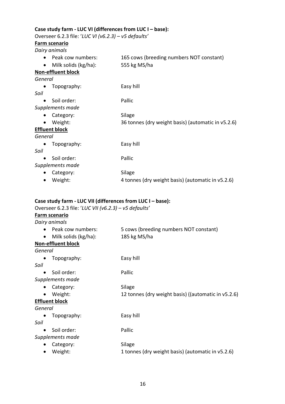#### **Case study farm - LUC VI (differences from LUC I – base):**

Overseer 6.2.3 file: '*LUC VI (v6.2.3) – v5 defaults'*

#### **Farm scenario**

*Dairy animals*

- Peak cow numbers: 165 cows (breeding numbers NOT constant)
- Milk solids (kg/ha): 555 kg MS/ha
	-

**Non-effluent block** *General*

• Topography: Easy hill

*Soil*

- Soil order: Pallic
- *Supplements made*
	- Category: Silage
	- Weight: 36 tonnes (dry weight basis) (automatic in v5.2.6)

#### **Effluent block**

*General*

- Topography: Easy hill *Soil* • Soil order: Pallic *Supplements made*
	- Category: Silage • Weight: 4 tonnes (dry weight basis) (automatic in v5.2.6)

#### **Case study farm - LUC VII (differences from LUC I – base):**

Overseer 6.2.3 file: '*LUC VII (v6.2.3) – v5 defaults'*

#### **Farm scenario**

| Dairy animals                     |                                                     |
|-----------------------------------|-----------------------------------------------------|
| Peak cow numbers:                 | 5 cows (breeding numbers NOT constant)              |
| Milk solids (kg/ha):<br>$\bullet$ | 185 kg MS/ha                                        |
| <b>Non-effluent block</b>         |                                                     |
| General                           |                                                     |
| Topography:                       | Easy hill                                           |
| Soil                              |                                                     |
| Soil order:                       | Pallic                                              |
| Supplements made                  |                                                     |
| Category:                         | Silage                                              |
| Weight:<br>$\bullet$              | 12 tonnes (dry weight basis) ((automatic in v5.2.6) |
| <b>Effluent block</b>             |                                                     |
| General                           |                                                     |
| Topography:                       | Easy hill                                           |
| Soil                              |                                                     |
| Soil order:<br>$\bullet$          | Pallic                                              |
| Supplements made                  |                                                     |
| Category:                         | Silage                                              |

• Weight: 1 tonnes (dry weight basis) (automatic in v5.2.6)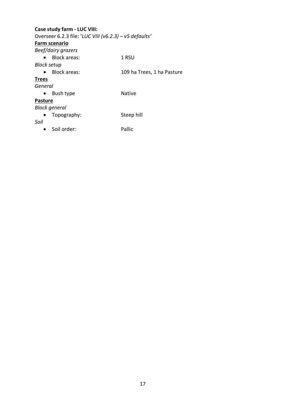# **Case study farm - LUC VIII:**  Overseer 6.2.3 file: '*LUC VIII (v6.2.3) – v5 defaults'* **Farm scenario** *Beef/dairy grazers* • Block areas: 1 RSU *Block setup* • Block areas: 109 ha Trees, 1 ha Pasture **Trees** *General* • Bush type Native **Pasture** *Block general* • Topography: Steep hill *Soil* • Soil order: Pallic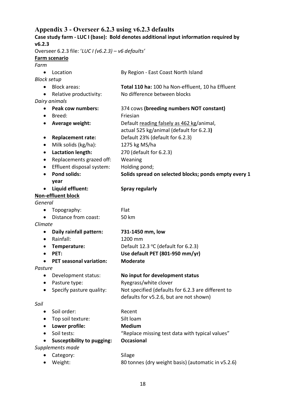# **Appendix 3 - Overseer 6.2.3 using v6.2.3 defaults**

| Case study farm - LUC I (base): Bold denotes additional input information required by |                                                     |                                                       |
|---------------------------------------------------------------------------------------|-----------------------------------------------------|-------------------------------------------------------|
| v6.2.3                                                                                |                                                     |                                                       |
|                                                                                       | Overseer 6.2.3 file: 'LUC I (v6.2.3) - v6 defaults' |                                                       |
|                                                                                       | Farm scenario                                       |                                                       |
| Farm                                                                                  |                                                     |                                                       |
| $\bullet$                                                                             | Location                                            | By Region - East Coast North Island                   |
| <b>Block setup</b>                                                                    |                                                     |                                                       |
|                                                                                       | <b>Block areas:</b>                                 | Total 110 ha: 100 ha Non-effluent, 10 ha Effluent     |
| $\bullet$                                                                             | Relative productivity:                              | No difference between blocks                          |
|                                                                                       | Dairy animals<br>Peak cow numbers:                  |                                                       |
| $\bullet$                                                                             |                                                     | 374 cows (breeding numbers NOT constant)<br>Friesian  |
| $\bullet$                                                                             | Breed:                                              |                                                       |
| $\bullet$                                                                             | Average weight:                                     | Default reading falsely as 462 kg/animal,             |
|                                                                                       |                                                     | actual 525 kg/animal (default for 6.2.3)              |
| $\bullet$                                                                             | <b>Replacement rate:</b>                            | Default 23% (default for 6.2.3)                       |
| $\bullet$                                                                             | Milk solids (kg/ha):                                | 1275 kg MS/ha                                         |
| $\bullet$                                                                             | <b>Lactation length:</b>                            | 270 (default for 6.2.3)                               |
| $\bullet$                                                                             | Replacements grazed off:                            | Weaning                                               |
| $\bullet$                                                                             | Effluent disposal system:                           | Holding pond;                                         |
| $\bullet$                                                                             | <b>Pond solids:</b>                                 | Solids spread on selected blocks; ponds empty every 1 |
|                                                                                       | year                                                |                                                       |
|                                                                                       | Liquid effluent:                                    | <b>Spray regularly</b>                                |
|                                                                                       | <b>Non-effluent block</b>                           |                                                       |
| General                                                                               |                                                     |                                                       |
| $\bullet$                                                                             | Topography:                                         | Flat                                                  |
| $\bullet$                                                                             | Distance from coast:                                | 50 km                                                 |
| Climate                                                                               |                                                     |                                                       |
| ٠                                                                                     | Daily rainfall pattern:                             | 731-1450 mm, low                                      |
| $\bullet$                                                                             | Rainfall:                                           | 1200 mm                                               |
| $\bullet$                                                                             | Temperature:                                        | Default 12.3 $\degree$ C (default for 6.2.3)          |
|                                                                                       | PET:                                                | Use default PET (801-950 mm/yr)                       |
|                                                                                       | <b>PET seasonal variation:</b>                      | <b>Moderate</b>                                       |
| Pasture                                                                               |                                                     |                                                       |
| $\bullet$                                                                             | Development status:                                 | No input for development status                       |
| $\bullet$                                                                             | Pasture type:                                       | Ryegrass/white clover                                 |
| $\bullet$                                                                             | Specify pasture quality:                            | Not specified (defaults for 6.2.3 are different to    |
|                                                                                       |                                                     | defaults for v5.2.6, but are not shown)               |
| Soil                                                                                  |                                                     |                                                       |
|                                                                                       | Soil order:                                         | Recent                                                |
| $\bullet$                                                                             | Top soil texture:                                   | Silt loam                                             |
|                                                                                       | Lower profile:                                      | <b>Medium</b>                                         |
| $\bullet$                                                                             | Soil tests:                                         | "Replace missing test data with typical values"       |
|                                                                                       | <b>Susceptibility to pugging:</b>                   | <b>Occasional</b>                                     |
| Supplements made                                                                      |                                                     |                                                       |
|                                                                                       | Category:                                           | Silage                                                |
| ٠                                                                                     | Weight:                                             | 80 tonnes (dry weight basis) (automatic in v5.2.6)    |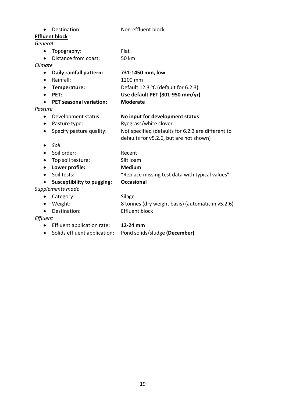| $\bullet$ | Destination:                      | Non-effluent block                                 |
|-----------|-----------------------------------|----------------------------------------------------|
|           | <b>Effluent block</b>             |                                                    |
| General   |                                   |                                                    |
| $\bullet$ | Topography:                       | Flat                                               |
| $\bullet$ | Distance from coast:              | <b>50 km</b>                                       |
| Climate   |                                   |                                                    |
| $\bullet$ | Daily rainfall pattern:           | 731-1450 mm, low                                   |
| ٠         | Rainfall:                         | 1200 mm                                            |
| ٠         | Temperature:                      | Default 12.3 °C (default for 6.2.3)                |
| ٠         | PET:                              | Use default PET (801-950 mm/yr)                    |
|           | <b>PET seasonal variation:</b>    | <b>Moderate</b>                                    |
| Pasture   |                                   |                                                    |
| $\bullet$ | Development status:               | No input for development status                    |
| $\bullet$ | Pasture type:                     | Ryegrass/white clover                              |
| $\bullet$ | Specify pasture quality:          | Not specified (defaults for 6.2.3 are different to |
|           |                                   | defaults for v5.2.6, but are not shown)            |
| $\bullet$ | Soil                              |                                                    |
|           | Soil order:                       | Recent                                             |
|           | Top soil texture:                 | Silt loam                                          |
| $\bullet$ | Lower profile:                    | <b>Medium</b>                                      |
| $\bullet$ | Soil tests:                       | "Replace missing test data with typical values"    |
|           | <b>Susceptibility to pugging:</b> | <b>Occasional</b>                                  |
|           | Supplements made                  |                                                    |
| $\bullet$ | Category:                         | Silage                                             |
| $\bullet$ | Weight:                           | 8 tonnes (dry weight basis) (automatic in v5.2.6)  |
| $\bullet$ | Destination:                      | <b>Effluent block</b>                              |
| Effluent  |                                   |                                                    |
| ٠         | Effluent application rate:        | 12-24 mm                                           |
| $\bullet$ | Solids effluent application:      | Pond solids/sludge (December)                      |
|           |                                   |                                                    |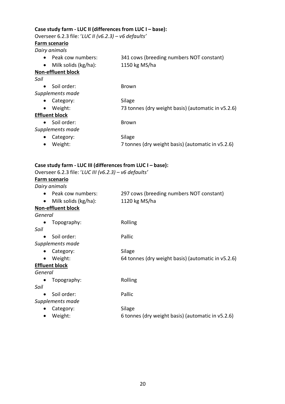#### **Case study farm - LUC II (differences from LUC I – base):**

Overseer 6.2.3 file: '*LUC II (v6.2.3) – v6 defaults'*

#### **Farm scenario**

*Dairy animals*

| • Peak cow numbers:       | 341 cows (breeding numbers NOT constant) |
|---------------------------|------------------------------------------|
| • Milk solids $(kg/ha)$ : | 1150 kg MS/ha                            |

# **Non-effluent block**

| I<br>۰.<br>×<br>۰.<br>× |  |
|-------------------------|--|
|                         |  |

| Soil order:<br>$\bullet$ | <b>Brown</b>                                       |
|--------------------------|----------------------------------------------------|
| Supplements made         |                                                    |
| Category:<br>$\bullet$   | Silage                                             |
| Weight:<br>$\bullet$     | 73 tonnes (dry weight basis) (automatic in v5.2.6) |
| <b>Effluent block</b>    |                                                    |
| Soil order:<br>$\bullet$ | <b>Brown</b>                                       |
| Supplements made         |                                                    |
| Category:<br>$\bullet$   | Silage                                             |
| Weight:<br>$\bullet$     | 7 tonnes (dry weight basis) (automatic in v5.2.6)  |

#### **Case study farm - LUC III (differences from LUC I – base):**

Overseer 6.2.3 file: '*LUC III (v6.2.3) – v6 defaults'*

#### **Farm scenario**

*Dairy animals*

| • Peak cow numbers:       | 297 cows (breeding numbers NOT constant) |
|---------------------------|------------------------------------------|
| • Milk solids $(kg/ha)$ : | 1120 kg MS/ha                            |

# **Non-effluent block**

| General |  |
|---------|--|
|---------|--|

| Topography: | Rolling |
|-------------|---------|
|             |         |

*Soil*

- Soil order: Pallic
- *Supplements made*
	- Category: Silage
	- Weight: 64 tonnes (dry weight basis) (automatic in v5.2.6)

#### **Effluent block**

*General*

• Topography: Rolling

*Soil*

- Soil order: Pallic
- *Supplements made*
	- Category: Silage
	- Weight: 6 tonnes (dry weight basis) (automatic in v5.2.6)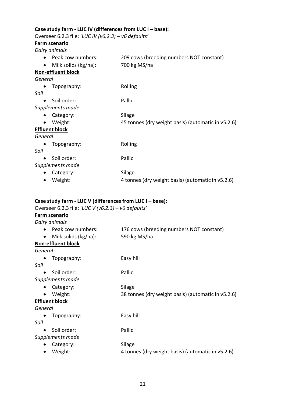#### **Case study farm - LUC IV (differences from LUC I – base):**

Overseer 6.2.3 file: '*LUC IV (v6.2.3) – v6 defaults'*

#### **Farm scenario**

*Dairy animals*

- Peak cow numbers: 209 cows (breeding numbers NOT constant)
- Milk solids (kg/ha): 700 kg MS/ha
- 
- **Non-effluent block**

*General*

• Topography: Rolling

*Soil*

- Soil order: Pallic
- *Supplements made*
	- Category: Silage
	- Weight: 45 tonnes (dry weight basis) (automatic in v5.2.6)

#### **Effluent block**

*General*

- Topography: Rolling *Soil* • Soil order: Pallic
- *Supplements made*
	- Category: Silage • Weight: 4 tonnes (dry weight basis) (automatic in v5.2.6)

#### **Case study farm - LUC V (differences from LUC I – base):**

Overseer 6.2.3 file: '*LUC V (v6.2.3) – v6 defaults'*

#### **Farm scenario**

| Dairy animals                     |                                                    |
|-----------------------------------|----------------------------------------------------|
| Peak cow numbers:                 | 176 cows (breeding numbers NOT constant)           |
| Milk solids (kg/ha):<br>$\bullet$ | 590 kg MS/ha                                       |
| <b>Non-effluent block</b>         |                                                    |
| General                           |                                                    |
| Topography:                       | Easy hill                                          |
| Soil                              |                                                    |
| Soil order:<br>$\bullet$          | Pallic                                             |
| Supplements made                  |                                                    |
| Category:                         | Silage                                             |
| Weight:                           | 38 tonnes (dry weight basis) (automatic in v5.2.6) |
| <b>Effluent block</b>             |                                                    |
| General                           |                                                    |
| Topography:                       | Easy hill                                          |
| Soil                              |                                                    |
| Soil order:                       | Pallic                                             |
| Supplements made                  |                                                    |
| Category:                         | Silage                                             |
|                                   |                                                    |

• Weight: 4 tonnes (dry weight basis) (automatic in v5.2.6)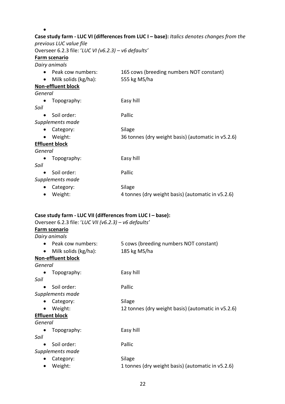| previous LUC value file                               | Case study farm - LUC VI (differences from LUC I - base): Italics denotes changes from the |
|-------------------------------------------------------|--------------------------------------------------------------------------------------------|
| Overseer 6.2.3 file: 'LUC VI (v6.2.3) - v6 defaults'  |                                                                                            |
| <b>Farm scenario</b>                                  |                                                                                            |
| Dairy animals                                         |                                                                                            |
| Peak cow numbers:                                     | 165 cows (breeding numbers NOT constant)                                                   |
| Milk solids (kg/ha):                                  | 555 kg MS/ha                                                                               |
| <b>Non-effluent block</b>                             |                                                                                            |
| General                                               |                                                                                            |
| Topography:                                           | Easy hill                                                                                  |
| Soil                                                  |                                                                                            |
| Soil order:                                           | Pallic                                                                                     |
| Supplements made                                      |                                                                                            |
| Category:                                             | Silage                                                                                     |
| Weight:                                               | 36 tonnes (dry weight basis) (automatic in v5.2.6)                                         |
| <b>Effluent block</b>                                 |                                                                                            |
| General                                               |                                                                                            |
| Topography:                                           | Easy hill                                                                                  |
| Soil                                                  |                                                                                            |
| Soil order:                                           | Pallic                                                                                     |
| Supplements made                                      |                                                                                            |
| Category:                                             | Silage                                                                                     |
| Weight:<br>$\bullet$                                  | 4 tonnes (dry weight basis) (automatic in v5.2.6)                                          |
|                                                       | Case study farm - LUC VII (differences from LUC I - base):                                 |
| Overseer 6.2.3 file: 'LUC VII (v6.2.3) - v6 defaults' |                                                                                            |
| <b>Farm scenario</b>                                  |                                                                                            |
| Dairy animals                                         |                                                                                            |
| Peak cow numbers:                                     | 5 cows (breeding numbers NOT constant)                                                     |
| Milk solids (kg/ha):                                  | 185 kg MS/ha                                                                               |
| <b>Non-effluent block</b>                             |                                                                                            |
| General                                               |                                                                                            |
| Topography:                                           | Easy hill                                                                                  |
| Soil                                                  |                                                                                            |
| Soil order:                                           | Pallic                                                                                     |
| Supplements made                                      |                                                                                            |
| Category:                                             | Silage                                                                                     |
| Weight:                                               | 12 tonnes (dry weight basis) (automatic in v5.2.6)                                         |

#### **Effluent block**

*General*

• Topography: Easy hill

*Soil*

- Soil order: Pallic
- *Supplements made*
	- Category: Silage<br>• Weight: 1 tonn
	- 1 tonnes (dry weight basis) (automatic in v5.2.6)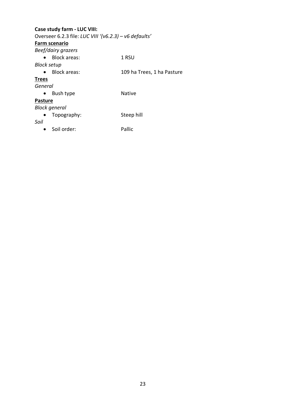# **Case study farm - LUC VIII:**  Overseer 6.2.3 file: *LUC VIII '(v6.2.3) – v6 defaults'* **Farm scenario** *Beef/dairy grazers* • Block areas: 1 RSU *Block setup* • Block areas: 109 ha Trees, 1 ha Pasture **Trees** *General* • Bush type Native **Pasture** *Block general* • Topography: Steep hill *Soil* • Soil order: Pallic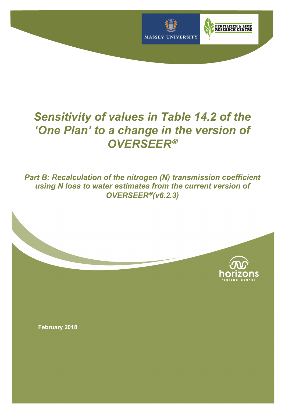

# *Sensitivity of values in Table 14.2 of the 'One Plan' to a change in the version of OVERSEER*<sup>Ò</sup>

*Part B: Recalculation of the nitrogen (N) transmission coefficient using N loss to water estimates from the current version of*  **OVERSEER<sup>®</sup> (v6.2.3)** 



**February 2018**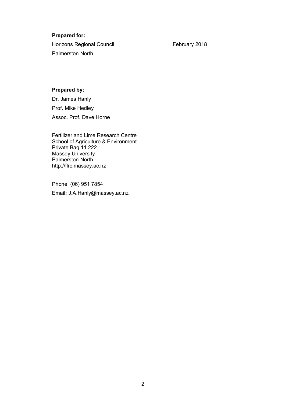#### **Prepared for:**

Horizons Regional Council **February 2018** Palmerston North

#### **Prepared by:**

Dr. James Hanly Prof. Mike Hedley Assoc. Prof. Dave Horne

Fertilizer and Lime Research Centre School of Agriculture & Environment Private Bag 11 222 Massey University Palmerston North http://flrc.massey.ac.nz

Phone: (06) 951 7854 Email**:** J.A.Hanly@massey.ac.nz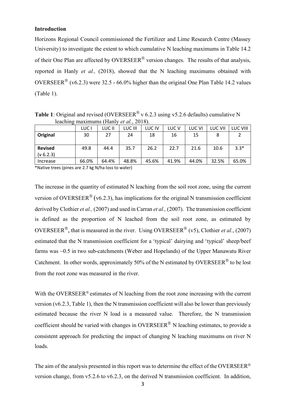#### **Introduction**

Horizons Regional Council commissioned the Fertilizer and Lime Research Centre (Massey University) to investigate the extent to which cumulative N leaching maximums in Table 14.2 of their One Plan are affected by OVERSEER<sup>®</sup> version changes. The results of that analysis, reported in Hanly *et al.,* (2018), showed that the N leaching maximums obtained with OVERSEER<sup>®</sup> (v6.2.3) were 32.5 - 66.0% higher than the original One Plan Table 14.2 values (Table 1).

**Table 1**: Original and revised (OVERSEER<sup>®</sup> v 6.2.3 using v5.2.6 defaults) cumulative N leaching maximums (Hanly *et al.*, 2018). LUC I LUC II LUC III LUC IV LUC V LUC VI LUC VII LUC VIII

|                                                                                                                 | LUC   | LUC II                                                   | LUC III       | LUC IV | LUC V | LUC VI | LUC VII | LUC VIII |
|-----------------------------------------------------------------------------------------------------------------|-------|----------------------------------------------------------|---------------|--------|-------|--------|---------|----------|
| Original                                                                                                        | 30    | 27                                                       | 24            | 18     | 16    | 15     |         |          |
| <b>Revised</b><br>(v 6.2.3)                                                                                     | 49.8  | 44.4                                                     | 35.7          | 26.2   | 22.7  | 21.6   | 10.6    | $3.3*$   |
| Increase                                                                                                        | 66.0% | 64.4%                                                    | 48.8%         | 45.6%  | 41.9% | 44.0%  | 32.5%   | 65.0%    |
| about the committee of the committee of the committee of the committee of the committee of the committee of the |       | $\sim$ $ \sim$ $\sim$ $\sim$ $\sim$ $\sim$ $\sim$ $\sim$ | $\sim$ $\sim$ |        |       |        |         |          |

\*Native trees (pines are 2.7 kg N/ha loss to water)

The increase in the quantity of estimated N leaching from the soil root zone, using the current version of OVERSEER<sup>®</sup> (v6.2.3), has implications for the original N transmission coefficient derived by Clothier *et al.,* (2007) and used in Carran *et al.,* (2007). The transmission coefficient is defined as the proportion of N leached from the soil root zone, as estimated by OVERSEER<sup>®</sup>, that is measured in the river. Using OVERSEER<sup>®</sup> (v5), Clothier *et al.*, (2007) estimated that the N transmission coefficient for a 'typical' dairying and 'typical' sheep/beef farms was ~0.5 in two sub-catchments (Weber and Hopelands) of the Upper Manawatu River Catchment. In other words, approximately 50% of the N estimated by OVERSEER<sup>®</sup> to be lost from the root zone was measured in the river.

With the OVERSEER<sup>®</sup> estimates of N leaching from the root zone increasing with the current version (v6.2.3, Table 1), then the N transmission coefficient will also be lower than previously estimated because the river N load is a measured value. Therefore, the N transmission coefficient should be varied with changes in OVERSEER<sup>®</sup> N leaching estimates, to provide a consistent approach for predicting the impact of changing N leaching maximums on river N loads.

The aim of the analysis presented in this report was to determine the effect of the OVERSEER<sup>®</sup> version change, from v5.2.6 to v6.2.3, on the derived N transmission coefficient. In addition,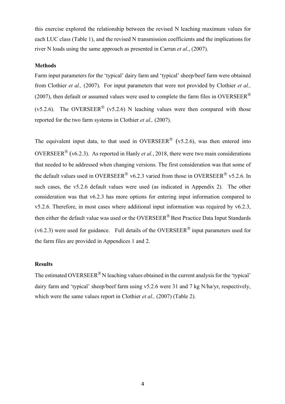this exercise explored the relationship between the revised N leaching maximum values for each LUC class (Table 1), and the revised N transmission coefficients and the implications for river N loads using the same approach as presented in Carran *et al*., (2007).

#### **Methods**

Farm input parameters for the 'typical' dairy farm and 'typical' sheep/beef farm were obtained from Clothier *et al.,* (2007). For input parameters that were not provided by Clothier *et al.,* (2007), then default or assumed values were used to complete the farm files in OVERSEER<sup>®</sup> (v5.2.6). The OVERSEER<sup>®</sup> (v5.2.6) N leaching values were then compared with those reported for the two farm systems in Clothier *et al.,* (2007).

The equivalent input data, to that used in OVERSEER<sup>®</sup> (v5.2.6), was then entered into OVERSEER<sup>®</sup> (v6.2.3). As reported in Hanly *et al.*, 2018, there were two main considerations that needed to be addressed when changing versions. The first consideration was that some of the default values used in OVERSEER<sup>®</sup> v6.2.3 varied from those in OVERSEER<sup>®</sup> v5.2.6. In such cases, the v5.2.6 default values were used (as indicated in Appendix 2). The other consideration was that v6.2.3 has more options for entering input information compared to v5.2.6. Therefore, in most cases where additional input information was required by v6.2.3, then either the default value was used or the OVERSEER<sup>®</sup> Best Practice Data Input Standards  $(v6.2.3)$  were used for guidance. Full details of the OVERSEER<sup>®</sup> input parameters used for the farm files are provided in Appendices 1 and 2.

#### **Results**

The estimated OVERSEER<sup>®</sup> N leaching values obtained in the current analysis for the 'typical' dairy farm and 'typical' sheep/beef farm using v5.2.6 were 31 and 7 kg N/ha/yr, respectively, which were the same values report in Clothier *et al.*, (2007) (Table 2).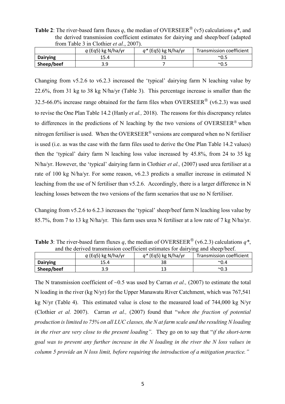**Table 2**: The river-based farm fluxes *q*, the median of OVERSEER<sup>®</sup> (v5) calculations *q\**, and the derived transmission coefficient estimates for dairying and sheep/beef (adapted from Table 3 in Clothier *et al.*, 2007).

|                 | $q$ (Eq5) kg N/ha/yr | $q^*$ (Eq5) kg N/ha/yr | Transmission coefficient |
|-----------------|----------------------|------------------------|--------------------------|
| <b>Dairying</b> | 15.4                 |                        | $^{\sim}$ 0.5            |
| Sheep/beef      |                      |                        | $^{\sim}$ 0.5            |

Changing from v5.2.6 to v6.2.3 increased the 'typical' dairying farm N leaching value by 22.6%, from 31 kg to 38 kg N/ha/yr (Table 3). This percentage increase is smaller than the 32.5-66.0% increase range obtained for the farm files when OVERSEER<sup>®</sup> (v6.2.3) was used to revise the One Plan Table 14.2 (Hanly *et al.,* 2018). The reasons for this discrepancy relates to differences in the predictions of N leaching by the two versions of OVERSEER<sup>®</sup> when nitrogen fertiliser is used. When the OVERSEER<sup>®</sup> versions are compared when no N fertiliser is used (i.e. as was the case with the farm files used to derive the One Plan Table 14.2 values) then the 'typical' dairy farm N leaching loss value increased by 45.8%, from 24 to 35 kg N/ha/yr. However, the 'typical' dairying farm in Clothier *et al.,* (2007) used urea fertiliser at a rate of 100 kg N/ha/yr. For some reason, v6.2.3 predicts a smaller increase in estimated N leaching from the use of N fertiliser than v5.2.6. Accordingly, there is a larger difference in N leaching losses between the two versions of the farm scenarios that use no N fertiliser.

Changing from v5.2.6 to 6.2.3 increases the 'typical' sheep/beef farm N leaching loss value by 85.7%, from 7 to 13 kg N/ha/yr. This farm uses urea N fertiliser at a low rate of 7 kg N/ha/yr.

|                                                                                 | <b>EXAMPLE 1</b> FIGURE 1997 THE EXAMPLE 11 FIGURE 11 THE EXAMPLE 11 THE 11 THE 11 ON THE 11 OF $\theta$ , |                          |
|---------------------------------------------------------------------------------|------------------------------------------------------------------------------------------------------------|--------------------------|
| and the derived transmission coefficient estimates for dairying and sheep/beef. |                                                                                                            |                          |
| q (Eq5) kg N/ha/yr                                                              | $q^*$ (Eq5) kg N/ha/yr                                                                                     | Transmission coefficient |

**Dairying 15.4 16.4 38 70.4 Sheep/beef** | 3.9 13  $\sim$  0.3

**Table 3:** The river-based farm fluxes *q*, the median of OVERSEER<sup>®</sup> (v6.2.3) calculations  $q^*$ 

The N transmission coefficient of ~0.5 was used by Carran *et al.*, (2007) to estimate the total N loading in the river (kg N/yr) for the Upper Manawatu River Catchment, which was 767,541 kg N/yr (Table 4). This estimated value is close to the measured load of 744,000 kg N/yr (Clothier *et al.* 2007). Carran *et al.,* (2007) found that "*when the fraction of potential production is limited to 75% on all LUC classes, the N at farm scale and the resulting N loading in the river are very close to the present loading".* They go on to say that "*if the short-term goal was to prevent any further increase in the N loading in the river the N loss values in column 5 provide an N loss limit, before requiring the introduction of a mitigation practice."*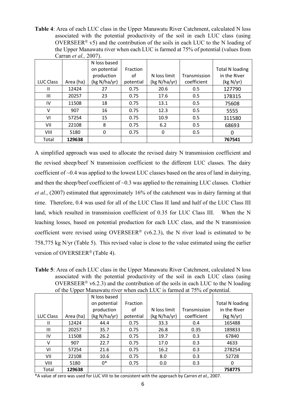**Table 4**: Area of each LUC class in the Upper Manawatu River Catchment, calculated N loss associated with the potential productivity of the soil in each LUC class (using OVERSEER<sup>®</sup> v5) and the contribution of the soils in each LUC to the N loading of the Upper Manawatu river when each LUC is farmed at 75% of potential (values from Carran *et al.,* 2007).

|           |           | N loss based |           |              |              |                        |
|-----------|-----------|--------------|-----------|--------------|--------------|------------------------|
|           |           | on potential | Fraction  |              |              | <b>Total N loading</b> |
|           |           | production   | οf        | N loss limit | Transmission | in the River           |
| LUC Class | Area (ha) | (kg N/ha/yr) | potential | (kg N/ha/yr) | coefficient  | (kg N/yr)              |
| Ш         | 12424     | 27           | 0.75      | 20.6         | 0.5          | 127790                 |
| III       | 20257     | 23           | 0.75      | 17.6         | 0.5          | 178315                 |
| IV        | 11508     | 18           | 0.75      | 13.1         | 0.5          | 75608                  |
| $\vee$    | 907       | 16           | 0.75      | 12.3         | 0.5          | 5555                   |
| VI        | 57254     | 15           | 0.75      | 10.9         | 0.5          | 311580                 |
| VII       | 22108     | 8            | 0.75      | 6.2          | 0.5          | 68693                  |
| VIII      | 5180      | 0            | 0.75      | 0            | 0.5          | 0                      |
| Total     | 129638    |              |           |              |              | 767541                 |

A simplified approach was used to allocate the revised dairy N transmission coefficient and the revised sheep/beef N transmission coefficient to the different LUC classes. The dairy coefficient of ~0.4 was applied to the lowest LUC classes based on the area of land in dairying, and then the sheep/beef coefficient of  $\sim 0.3$  was applied to the remaining LUC classes. Clothier *et al.*, (2007) estimated that approximately 16% of the catchment was in dairy farming at that time. Therefore, 0.4 was used for all of the LUC Class II land and half of the LUC Class III land, which resulted in transmission coefficient of 0.35 for LUC Class III. When the N leaching losses, based on potential production for each LUC class, and the N transmission coefficient were revised using OVERSEER<sup>®</sup> (v6.2.3), the N river load is estimated to be 758,775 kg N/yr (Table 5). This revised value is close to the value estimated using the earlier version of OVERSEER<sup>®</sup> (Table 4).

**Table 5**: Area of each LUC class in the Upper Manawatu River Catchment, calculated N loss associated with the potential productivity of the soil in each LUC class (using OVERSEER<sup>®</sup> v6.2.3) and the contribution of the soils in each LUC to the N loading of the Upper Manawatu river when each LUC is farmed at 75% of potential.

|             |           | N loss based |           |              |              |                        |
|-------------|-----------|--------------|-----------|--------------|--------------|------------------------|
|             |           | on potential | Fraction  |              |              | <b>Total N loading</b> |
|             |           | production   | οf        | N loss limit | Transmission | in the River           |
| LUC Class   | Area (ha) | (kg N/ha/yr) | potential | (kg N/ha/yr) | coefficient  | (kg N/yr)              |
| Ш           | 12424     | 44.4         | 0.75      | 33.3         | 0.4          | 165488                 |
| III         | 20257     | 35.7         | 0.75      | 26.8         | 0.35         | 189833                 |
| IV          | 11508     | 26.2         | 0.75      | 19.7         | 0.3          | 67840                  |
| v           | 907       | 22.7         | 0.75      | 17.0         | 0.3          | 4633                   |
| VI          | 57254     | 21.6         | 0.75      | 16.2         | 0.3          | 278254                 |
| VII         | 22108     | 10.6         | 0.75      | 8.0          | 0.3          | 52728                  |
| <b>VIII</b> | 5180      | 0*           | 0.75      | 0.0          | 0.3          | 0                      |
| Total       | 129638    |              |           |              |              | 758775                 |

\*A value of zero was used for LUC VIII to be consistent with the approach by Carren *et al.,* 2007.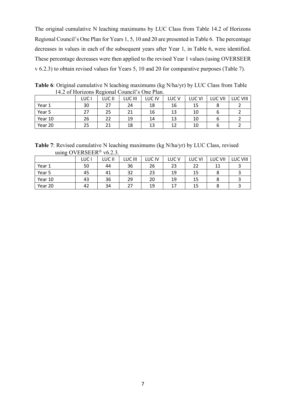The original cumulative N leaching maximums by LUC Class from Table 14.2 of Horizons Regional Council's One Plan for Years 1, 5, 10 and 20 are presented in Table 6. The percentage decreases in values in each of the subsequent years after Year 1, in Table 6, were identified. These percentage decreases were then applied to the revised Year 1 values (using OVERSEER v 6.2.3) to obtain revised values for Years 5, 10 and 20 for comparative purposes (Table 7).

**Table 6**: Original cumulative N leaching maximums (kg N/ha/yr) by LUC Class from Table 14.2 of Horizons Regional Council's One Plan.

|         | LUC I | LUC II | LUC III | LUC IV | LUC <sub>V</sub> | LUC VI | LUC VII | LUC VIII |
|---------|-------|--------|---------|--------|------------------|--------|---------|----------|
| Year 1  | 30    | 27     | 24      | 18     | 16               | 15     |         |          |
| Year 5  | 27    | 25     |         | 16     | 13               | 10     |         |          |
| Year 10 | 26    | 22     | 19      | 14     | 13               | 10     |         |          |
| Year 20 | 25    | 21     | 18      | 13     | 12               | 10     | n       |          |

**Table 7**: Revised cumulative N leaching maximums (kg N/ha/yr) by LUC Class, revised using OVERSEER<sup>®</sup> v6.2.3.

|         | LUC. | LUC II | LUC III | <b>LUC IV</b> | LUC V | LUC VI | LUC VII | LUC VIII |
|---------|------|--------|---------|---------------|-------|--------|---------|----------|
| Year 1  | 50   | 44     | 36      | 26            | 23    | 22     | 11      |          |
| Year 5  | 45   | 41     | 32      | 23            | 19    | 15     |         |          |
| Year 10 | 43   | 36     | 29      | 20            | 19    | 15     |         |          |
| Year 20 | 42   | 34     |         | 19            | 17    | 15     |         |          |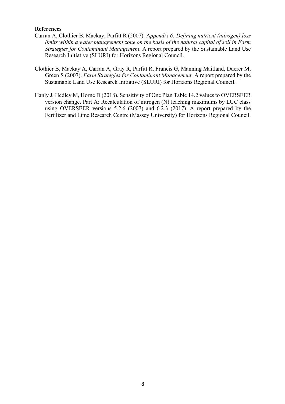#### **References**

- Carran A, Clothier B, Mackay, Parfitt R (2007). A*ppendix 6: Defining nutrient (nitrogen) loss limits within a water management zone on the basis of the natural capital of soil in Farm Strategies for Contaminant Management*. A report prepared by the Sustainable Land Use Research Initiative (SLURI) for Horizons Regional Council.
- Clothier B, Mackay A, Carran A, Gray R, Parfitt R, Francis G, Manning Maitland, Duerer M, Green S (2007). *Farm Strategies for Contaminant Management.* A report prepared by the Sustainable Land Use Research Initiative (SLURI) for Horizons Regional Council.
- Hanly J, Hedley M, Horne D (2018). Sensitivity of One Plan Table 14.2 values to OVERSEER version change. Part A: Recalculation of nitrogen (N) leaching maximums by LUC class using OVERSEER versions 5.2.6 (2007) and 6.2.3 (2017). A report prepared by the Fertilizer and Lime Research Centre (Massey University) for Horizons Regional Council.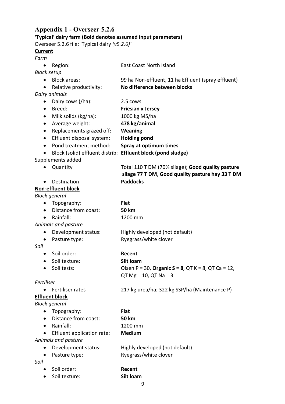# **Appendix 1 - Overseer 5.2.6 'Typical' dairy farm (Bold denotes assumed input parameters)**

Overseer 5.2.6 file: 'Typical dairy *(v5.2.6)'*

#### **Current**

#### *Farm*

| <b>Current</b>     |                            |                                                              |
|--------------------|----------------------------|--------------------------------------------------------------|
| Farm               |                            |                                                              |
| $\bullet$          | Region:                    | <b>East Coast North Island</b>                               |
| <b>Block setup</b> |                            |                                                              |
| $\bullet$          | <b>Block areas:</b>        | 99 ha Non-effluent, 11 ha Effluent (spray effluent)          |
| $\bullet$          | Relative productivity:     | No difference between blocks                                 |
|                    | Dairy animals              |                                                              |
|                    | Dairy cows (/ha):          | 2.5 cows                                                     |
| $\bullet$          | Breed:                     | <b>Friesian x Jersey</b>                                     |
| $\bullet$          | Milk solids (kg/ha):       | 1000 kg MS/ha                                                |
| $\bullet$          | Average weight:            | 478 kg/animal                                                |
| $\bullet$          | Replacements grazed off:   | <b>Weaning</b>                                               |
| $\bullet$          | Effluent disposal system:  | <b>Holding pond</b>                                          |
| $\bullet$          | Pond treatment method:     | Spray at optimum times                                       |
|                    |                            | Block (solid) effluent distrib: Effluent block (pond sludge) |
|                    | Supplements added          |                                                              |
|                    | Quantity                   | Total 110 T DM (70% silage); Good quality pasture            |
|                    |                            | silage 77 T DM, Good quality pasture hay 33 T DM             |
|                    | Destination                | <b>Paddocks</b>                                              |
|                    | <b>Non-effluent block</b>  |                                                              |
|                    | <b>Block general</b>       |                                                              |
| $\bullet$          | Topography:                | <b>Flat</b>                                                  |
| $\bullet$          | Distance from coast:       | <b>50 km</b>                                                 |
| $\bullet$          | Rainfall:                  | 1200 mm                                                      |
|                    | Animals and pasture        |                                                              |
| ٠                  | Development status:        | Highly developed (not default)                               |
| $\bullet$          | Pasture type:              | Ryegrass/white clover                                        |
| Soil               |                            |                                                              |
|                    | Soil order:                | Recent                                                       |
|                    | Soil texture:              | Silt loam                                                    |
|                    | Soil tests:                | Olsen P = 30, Organic S = 8, QT K = 8, QT Ca = 12,           |
|                    |                            | $QT Mg = 10, QT Na = 3$                                      |
| Fertiliser         |                            |                                                              |
|                    | Fertiliser rates           | 217 kg urea/ha; 322 kg SSP/ha (Maintenance P)                |
|                    | <b>Effluent block</b>      |                                                              |
|                    | <b>Block general</b>       |                                                              |
|                    | Topography:                | <b>Flat</b>                                                  |
|                    | Distance from coast:       | <b>50 km</b>                                                 |
|                    | Rainfall:                  | 1200 mm                                                      |
|                    | Effluent application rate: | <b>Medium</b>                                                |
|                    | Animals and pasture        |                                                              |
| $\bullet$          | Development status:        | Highly developed (not default)                               |
|                    | Pasture type:              | Ryegrass/white clover                                        |

*Soil*

- Soil order: **Recent**
- Soil texture: **Silt loam**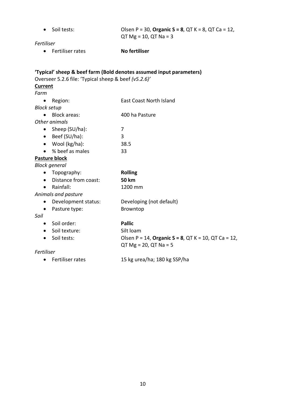| Fertiliser             | Soil tests:                                          | Olsen P = 30, Organic S = 8, QT K = 8, QT Ca = 12,<br>$QT Mg = 10, QT Na = 3$  |
|------------------------|------------------------------------------------------|--------------------------------------------------------------------------------|
| $\bullet$              | Fertiliser rates                                     | <b>No fertiliser</b>                                                           |
| <b>Current</b><br>Farm | Overseer 5.2.6 file: 'Typical sheep & beef (v5.2.6)' | 'Typical' sheep & beef farm (Bold denotes assumed input parameters)            |
| $\bullet$              | Region:                                              | <b>East Coast North Island</b>                                                 |
| <b>Block setup</b>     |                                                      |                                                                                |
|                        | <b>Block areas:</b>                                  | 400 ha Pasture                                                                 |
|                        | Other animals                                        |                                                                                |
|                        | • Sheep $(SU/ha)$ :                                  | 7                                                                              |
|                        | $\bullet$ Beef (SU/ha):                              | 3                                                                              |
| $\bullet$              | Wool (kg/ha):                                        | 38.5                                                                           |
|                        | % beef as males                                      | 33                                                                             |
|                        | Pasture block                                        |                                                                                |
|                        | <b>Block general</b>                                 |                                                                                |
| $\bullet$              | Topography:                                          | <b>Rolling</b>                                                                 |
| $\bullet$              | Distance from coast:                                 | <b>50 km</b>                                                                   |
| $\bullet$              | Rainfall:                                            | 1200 mm                                                                        |
|                        | Animals and pasture                                  |                                                                                |
| $\bullet$              | Development status:                                  | Developing (not default)                                                       |
| $\bullet$              | Pasture type:                                        | Browntop                                                                       |
| Soil                   |                                                      |                                                                                |
| $\bullet$              | Soil order:                                          | <b>Pallic</b>                                                                  |
| $\bullet$              | Soil texture:                                        | Silt loam                                                                      |
| $\bullet$              | Soil tests:                                          | Olsen P = 14, Organic S = 8, QT K = 10, QT Ca = 12,<br>$QT Mg = 20, QT Na = 5$ |
| Fertiliser             |                                                      |                                                                                |
| $\bullet$              | Fertiliser rates                                     | 15 kg urea/ha; 180 kg SSP/ha                                                   |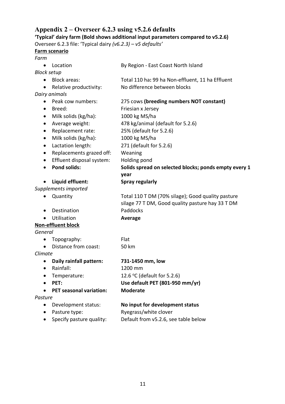# **Appendix 2 – Overseer 6.2.3 using v5.2.6 defaults**

**'Typical' dairy farm (Bold shows additional input parameters compared to v5.2.6)**

Overseer 6.2.3 file: 'Typical dairy *(v6.2.3) – v5 defaults'*

# **Farm scenario**

*Farm*

| Farm      |                                |                                                       |
|-----------|--------------------------------|-------------------------------------------------------|
|           | Location                       | By Region - East Coast North Island                   |
|           | Block setup                    |                                                       |
|           | <b>Block areas:</b>            | Total 110 ha: 99 ha Non-effluent, 11 ha Effluent      |
| ٠         | Relative productivity:         | No difference between blocks                          |
|           | Dairy animals                  |                                                       |
| $\bullet$ | Peak cow numbers:              | 275 cows (breeding numbers NOT constant)              |
| $\bullet$ | Breed:                         | Friesian x Jersey                                     |
| $\bullet$ | Milk solids (kg/ha):           | 1000 kg MS/ha                                         |
| $\bullet$ | Average weight:                | 478 kg/animal (default for 5.2.6)                     |
| $\bullet$ | Replacement rate:              | 25% (default for 5.2.6)                               |
| $\bullet$ | Milk solids (kg/ha):           | 1000 kg MS/ha                                         |
| $\bullet$ | Lactation length:              | 271 (default for 5.2.6)                               |
| $\bullet$ | Replacements grazed off:       | Weaning                                               |
| $\bullet$ | Effluent disposal system:      | Holding pond                                          |
| $\bullet$ | <b>Pond solids:</b>            | Solids spread on selected blocks; ponds empty every 1 |
|           |                                | year                                                  |
| $\bullet$ | Liquid effluent:               | <b>Spray regularly</b>                                |
|           | Supplements imported           |                                                       |
|           | Quantity                       | Total 110 T DM (70% silage); Good quality pasture     |
|           |                                | silage 77 T DM, Good quality pasture hay 33 T DM      |
| $\bullet$ | Destination                    | Paddocks                                              |
|           | Utilisation                    | <b>Average</b>                                        |
|           | Non-effluent block             |                                                       |
| General   |                                |                                                       |
| $\bullet$ | Topography:                    | Flat                                                  |
|           | Distance from coast:           | 50 km                                                 |
| Climate   |                                |                                                       |
|           | Daily rainfall pattern:        | 731-1450 mm, low                                      |
| $\bullet$ | Rainfall:                      | 1200 mm                                               |
|           | Temperature:                   | 12.6 °C (default for 5.2.6)                           |
|           | PET:                           | Use default PET (801-950 mm/yr)                       |
|           | <b>PET seasonal variation:</b> | <b>Moderate</b>                                       |
| Pasture   |                                |                                                       |
|           | Development status:            | No input for development status                       |
|           | Pasture type:                  | Ryegrass/white clover                                 |
|           | Specify pasture quality:       | Default from v5.2.6, see table below                  |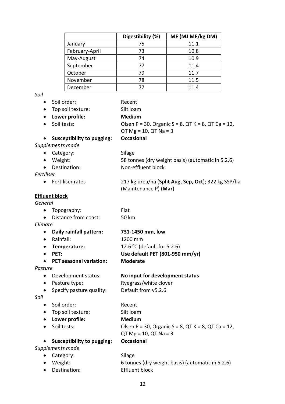|                | Digestibility (%) | ME (MJ ME/kg DM) |
|----------------|-------------------|------------------|
| January        | 75                | 11.1             |
| February-April | 73                | 10.8             |
| May-August     | 74                | 10.9             |
| September      | 77                | 11.4             |
| October        | 79                | 11.7             |
| November       | 78                | 11.5             |
| December       | 77                | 11.4             |

*Soil*

- Soil order: Recent
- Top soil texture: Silt loam
- **Lower profile: Medium**
- Soil tests:  $O$ Isen P = 30, Organic S = 8, QT K = 8, QT Ca = 12,
- - $QT Mg = 10, QT Na = 3$
- **Susceptibility to pugging: Occasional**

*Supplements made*

- Category: Silage
- Weight: 58 tonnes (dry weight basis) (automatic in 5.2.6) • Destination: Non-effluent block

*Fertiliser*

• Fertiliser rates 217 kg urea/ha (**Split Aug, Sep, Oct**); 322 kg SSP/ha

(Maintenance P) (**Mar**)

#### **Effluent block**

#### *General*

| $\bullet$ | Topography:          | <b>Flat</b> |
|-----------|----------------------|-------------|
| $\bullet$ | Distance from coast: | 50 km       |
| Climate   |                      |             |

| • Daily rainfall pattern: | 731-1450 mm, low                |
|---------------------------|---------------------------------|
| $\bullet$ Rainfall:       | 1200 mm                         |
| • Temperature:            | 12.6 °C (default for 5.2.6)     |
| $\bullet$ PFT:            | Use default PET (801-950 mm/yr) |
| • PET seasonal variation: | <b>Moderate</b>                 |

#### *Pasture*

- Development status: **No input for development status**
- Pasture type: Ryegrass/white clover
- Specify pasture quality: Default from v5.2.6

*Soil*

- Soil order: Recent
- Top soil texture: Silt loam
- **Lower profile: Medium**
- 
- Soil tests:  $O$ Isen P = 30, Organic S = 8, QT K = 8, QT Ca = 12, QT Mg = 10, QT Na = 3 • **Susceptibility to pugging: Occasional**

*Supplements made*

• Category: Silage • Weight: 6 tonnes (dry weight basis) (automatic in 5.2.6) • Destination: Effluent block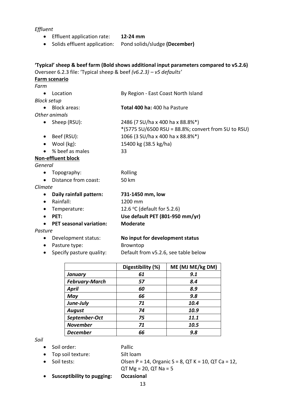#### *Effluent*

- Effluent application rate: **12-24 mm**
- Solids effluent application: Pond solids/sludge **(December)**

**'Typical' sheep & beef farm (Bold shows additional input parameters compared to v5.2.6)** Overseer 6.2.3 file: 'Typical sheep & beef *(v6.2.3) – v5 defaults'*

# **Farm scenario**

| <b>Farm scenario</b>                 |                                                     |
|--------------------------------------|-----------------------------------------------------|
| Farm                                 |                                                     |
| Location<br>$\bullet$                | By Region - East Coast North Island                 |
| <b>Block setup</b>                   |                                                     |
| Block areas:                         | <b>Total 400 ha: 400 ha Pasture</b>                 |
| Other animals                        |                                                     |
| • Sheep (RSU):                       | 2486 (7 SU/ha x 400 ha x 88.8%*)                    |
|                                      | *(5775 SU/6500 RSU = 88.8%; convert from SU to RSU) |
| Beef (RSU):<br>$\bullet$             | 1066 (3 SU/ha x 400 ha x 88.8%*)                    |
| Wool (kg):<br>$\bullet$              | 15400 kg (38.5 kg/ha)                               |
| % beef as males<br>$\bullet$         | 33                                                  |
| <b>Non-effluent block</b>            |                                                     |
| General                              |                                                     |
| Topography:<br>$\bullet$             | Rolling                                             |
| Distance from coast:                 | 50 km                                               |
| Climate                              |                                                     |
| Daily rainfall pattern:<br>$\bullet$ | 731-1450 mm, low                                    |
| Rainfall:<br>$\bullet$               | 1200 mm                                             |

- Temperature: 12.6 °C (default for 5.2.6)
- **PET: Use default PET (801-950 mm/yr)**
- **PET seasonal variation: Moderate**

#### *Pasture*

- Development status: **No input for development status**
- Pasture type: Browntop
- Specify pasture quality: Default from v5.2.6, see table below
	- **Digestibility (%) ME (MJ ME/kg DM)** *January 61 9.1 February-March 57 8.4 April 60 8.9 May 66 9.8 June-July 71 10.4 August 74 10.9 September-Oct 75 11.1 November 71 10.5 December 66 9.8*

*Soil*

• Soil order: Pallic

- Top soil texture: Silt loam
- 

• Soil tests:  $O(\text{Sen } P = 14, \text{Organic } S = 8, \text{QT K} = 10, \text{QT Ca} = 12,$ QT Mg = 20, QT Na = 5

• **Susceptibility to pugging: Occasional**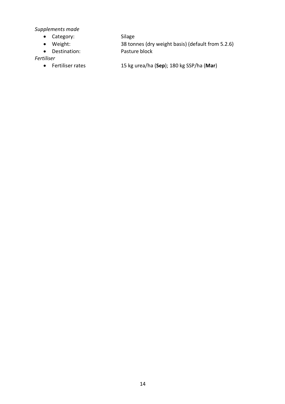*Supplements made*

- Category: Silage
- 
- Destination: Pasture block

• Weight: 38 tonnes (dry weight basis) (default from 5.2.6)

*Fertiliser*

- 
- Fertiliser rates 15 kg urea/ha (**Sep**); 180 kg SSP/ha (**Mar**)